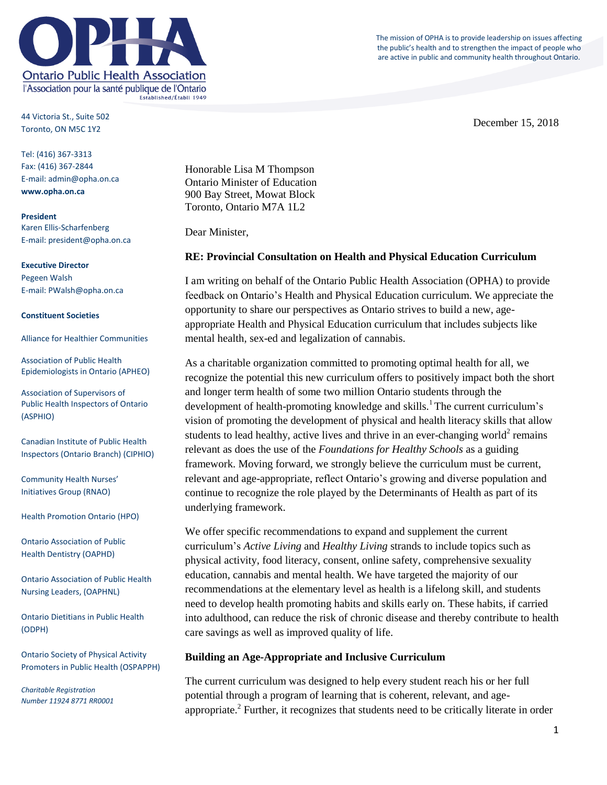

44 Victoria St., Suite 502 Toronto, ON M5C 1Y2

Tel: (416) 367-3313 Fax: (416) 367-2844 E-mail: admin@opha.on.ca **www.opha.on.ca**

**President** Karen Ellis-Scharfenberg E-mail: president@opha.on.ca

**Executive Director** Pegeen Walsh E-mail: PWalsh@opha.on.ca

#### **Constituent Societies**

Alliance for Healthier Communities

Association of Public Health Epidemiologists in Ontario (APHEO)

Association of Supervisors of Public Health Inspectors of Ontario (ASPHIO)

Canadian Institute of Public Health Inspectors (Ontario Branch) (CIPHIO)

Community Health Nurses' Initiatives Group (RNAO)

Health Promotion Ontario (HPO)

Ontario Association of Public Health Dentistry (OAPHD)

Ontario Association of Public Health Nursing Leaders, (OAPHNL)

Ontario Dietitians in Public Health (ODPH)

Ontario Society of Physical Activity Promoters in Public Health (OSPAPPH)

*Charitable Registration Number 11924 8771 RR0001* The mission of OPHA is to provide leadership on issues affecting the public's health and to strengthen the impact of people who are active in public and community health throughout Ontario.

December 15, 2018

Honorable Lisa M Thompson Ontario Minister of Education 900 Bay Street, Mowat Block Toronto, Ontario M7A 1L2

Dear Minister,

#### **RE: Provincial Consultation on Health and Physical Education Curriculum**

I am writing on behalf of the Ontario Public Health Association (OPHA) to provide feedback on Ontario's Health and Physical Education curriculum. We appreciate the opportunity to share our perspectives as Ontario strives to build a new, ageappropriate Health and Physical Education curriculum that includes subjects like mental health, sex-ed and legalization of cannabis.

As a charitable organization committed to promoting optimal health for all, we recognize the potential this new curriculum offers to positively impact both the short and longer term health of some two million Ontario students through the development of health-promoting knowledge and skills.<sup>1</sup> The current curriculum's vision of promoting the development of physical and health literacy skills that allow students to lead healthy, active lives and thrive in an ever-changing world<sup>2</sup> remains relevant as does the use of the *Foundations for Healthy Schools* as a guiding framework. Moving forward, we strongly believe the curriculum must be current, relevant and age-appropriate, reflect Ontario's growing and diverse population and continue to recognize the role played by the Determinants of Health as part of its underlying framework.

We offer specific recommendations to expand and supplement the current curriculum's *Active Living* and *Healthy Living* strands to include topics such as physical activity, food literacy, consent, online safety, comprehensive sexuality education, cannabis and mental health. We have targeted the majority of our recommendations at the elementary level as health is a lifelong skill, and students need to develop health promoting habits and skills early on. These habits, if carried into adulthood, can reduce the risk of chronic disease and thereby contribute to health care savings as well as improved quality of life.

#### **Building an Age-Appropriate and Inclusive Curriculum**

The current curriculum was designed to help every student reach his or her full potential through a program of learning that is coherent, relevant, and ageappropriate.<sup>2</sup> Further, it recognizes that students need to be critically literate in order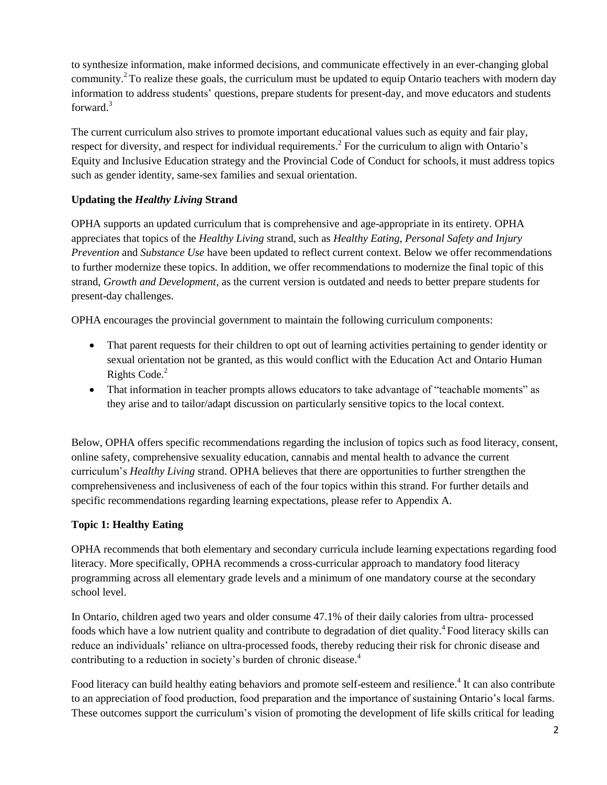to synthesize information, make informed decisions, and communicate effectively in an ever-changing global community.<sup>2</sup> To realize these goals, the curriculum must be updated to equip Ontario teachers with modern day information to address students' questions, prepare students for present-day, and move educators and students forward.<sup>3</sup>

The current curriculum also strives to promote important educational values such as equity and fair play, respect for diversity, and respect for individual requirements.<sup>2</sup> For the curriculum to align with Ontario's Equity and Inclusive Education strategy and the Provincial Code of Conduct for schools, it must address topics such as gender identity, same-sex families and sexual orientation.

## **Updating the** *Healthy Living* **Strand**

OPHA supports an updated curriculum that is comprehensive and age-appropriate in its entirety. OPHA appreciates that topics of the *Healthy Living* strand, such as *Healthy Eating*, *Personal Safety and Injury Prevention* and *Substance Use* have been updated to reflect current context. Below we offer recommendations to further modernize these topics. In addition, we offer recommendations to modernize the final topic of this strand, *Growth and Development*, as the current version is outdated and needs to better prepare students for present-day challenges.

OPHA encourages the provincial government to maintain the following curriculum components:

- That parent requests for their children to opt out of learning activities pertaining to gender identity or sexual orientation not be granted, as this would conflict with the Education Act and Ontario Human Rights Code.<sup>2</sup>
- That information in teacher prompts allows educators to take advantage of "teachable moments" as they arise and to tailor/adapt discussion on particularly sensitive topics to the local context.

Below, OPHA offers specific recommendations regarding the inclusion of topics such as food literacy, consent, online safety, comprehensive sexuality education, cannabis and mental health to advance the current curriculum's *Healthy Living* strand. OPHA believes that there are opportunities to further strengthen the comprehensiveness and inclusiveness of each of the four topics within this strand. For further details and specific recommendations regarding learning expectations, please refer to Appendix A.

## **Topic 1: Healthy Eating**

OPHA recommends that both elementary and secondary curricula include learning expectations regarding food literacy. More specifically, OPHA recommends a cross-curricular approach to mandatory food literacy programming across all elementary grade levels and a minimum of one mandatory course at the secondary school level.

In Ontario, children aged two years and older consume 47.1% of their daily calories from ultra- processed foods which have a low nutrient quality and contribute to degradation of diet quality.<sup>4</sup> Food literacy skills can reduce an individuals' reliance on ultra-processed foods, thereby reducing their risk for chronic disease and contributing to a reduction in society's burden of chronic disease.<sup>4</sup>

Food literacy can build healthy eating behaviors and promote self-esteem and resilience.<sup>4</sup> It can also contribute to an appreciation of food production, food preparation and the importance of sustaining Ontario's local farms. These outcomes support the curriculum's vision of promoting the development of life skills critical for leading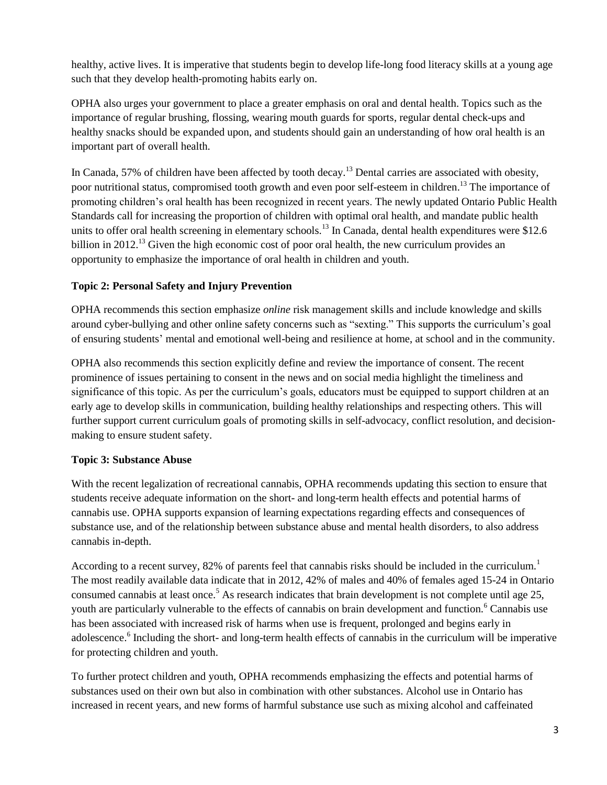healthy, active lives. It is imperative that students begin to develop life-long food literacy skills at a young age such that they develop health-promoting habits early on.

OPHA also urges your government to place a greater emphasis on oral and dental health. Topics such as the importance of regular brushing, flossing, wearing mouth guards for sports, regular dental check-ups and healthy snacks should be expanded upon, and students should gain an understanding of how oral health is an important part of overall health.

In Canada, 57% of children have been affected by tooth decay.<sup>13</sup> Dental carries are associated with obesity, poor nutritional status, compromised tooth growth and even poor self-esteem in children.<sup>13</sup> The importance of promoting children's oral health has been recognized in recent years. The newly updated Ontario Public Health Standards call for increasing the proportion of children with optimal oral health, and mandate public health units to offer oral health screening in elementary schools.<sup>13</sup> In Canada, dental health expenditures were \$12.6 billion in 2012.<sup>13</sup> Given the high economic cost of poor oral health, the new curriculum provides an opportunity to emphasize the importance of oral health in children and youth.

## **Topic 2: Personal Safety and Injury Prevention**

OPHA recommends this section emphasize *online* risk management skills and include knowledge and skills around cyber-bullying and other online safety concerns such as "sexting." This supports the curriculum's goal of ensuring students' mental and emotional well-being and resilience at home, at school and in the community.

OPHA also recommends this section explicitly define and review the importance of consent. The recent prominence of issues pertaining to consent in the news and on social media highlight the timeliness and significance of this topic. As per the curriculum's goals, educators must be equipped to support children at an early age to develop skills in communication, building healthy relationships and respecting others. This will further support current curriculum goals of promoting skills in self-advocacy, conflict resolution, and decisionmaking to ensure student safety.

## **Topic 3: Substance Abuse**

With the recent legalization of recreational cannabis, OPHA recommends updating this section to ensure that students receive adequate information on the short- and long-term health effects and potential harms of cannabis use. OPHA supports expansion of learning expectations regarding effects and consequences of substance use, and of the relationship between substance abuse and mental health disorders, to also address cannabis in-depth.

According to a recent survey, 82% of parents feel that cannabis risks should be included in the curriculum.<sup>1</sup> The most readily available data indicate that in 2012, 42% of males and 40% of females aged 15-24 in Ontario consumed cannabis at least once.<sup>5</sup> As research indicates that brain development is not complete until age 25, youth are particularly vulnerable to the effects of cannabis on brain development and function.<sup>6</sup> Cannabis use has been associated with increased risk of harms when use is frequent, prolonged and begins early in adolescence.<sup>6</sup> Including the short- and long-term health effects of cannabis in the curriculum will be imperative for protecting children and youth.

To further protect children and youth, OPHA recommends emphasizing the effects and potential harms of substances used on their own but also in combination with other substances. Alcohol use in Ontario has increased in recent years, and new forms of harmful substance use such as mixing alcohol and caffeinated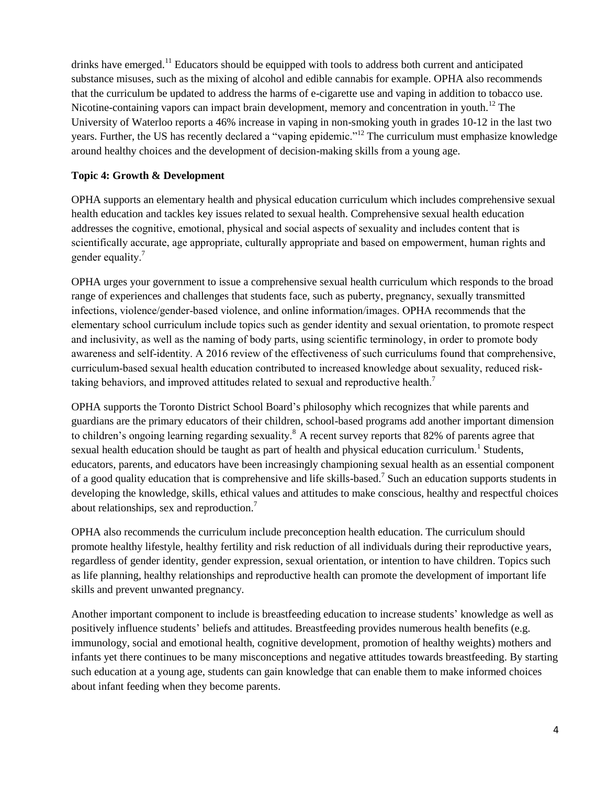drinks have emerged.<sup>11</sup> Educators should be equipped with tools to address both current and anticipated substance misuses, such as the mixing of alcohol and edible cannabis for example. OPHA also recommends that the curriculum be updated to address the harms of e-cigarette use and vaping in addition to tobacco use. Nicotine-containing vapors can impact brain development, memory and concentration in youth.<sup>12</sup> The University of Waterloo reports a 46% increase in vaping in non-smoking youth in grades 10-12 in the last two years. Further, the US has recently declared a "vaping epidemic."<sup>12</sup> The curriculum must emphasize knowledge around healthy choices and the development of decision-making skills from a young age.

#### **Topic 4: Growth & Development**

OPHA supports an elementary health and physical education curriculum which includes comprehensive sexual health education and tackles key issues related to sexual health. Comprehensive sexual health education addresses the cognitive, emotional, physical and social aspects of sexuality and includes content that is scientifically accurate, age appropriate, culturally appropriate and based on empowerment, human rights and gender equality.<sup>7</sup>

OPHA urges your government to issue a comprehensive sexual health curriculum which responds to the broad range of experiences and challenges that students face, such as puberty, pregnancy, sexually transmitted infections, violence/gender-based violence, and online information/images. OPHA recommends that the elementary school curriculum include topics such as gender identity and sexual orientation, to promote respect and inclusivity, as well as the naming of body parts, using scientific terminology, in order to promote body awareness and self-identity. A 2016 review of the effectiveness of such curriculums found that comprehensive, curriculum-based sexual health education contributed to increased knowledge about sexuality, reduced risktaking behaviors, and improved attitudes related to sexual and reproductive health.<sup>7</sup>

OPHA supports the Toronto District School Board's philosophy which recognizes that while parents and guardians are the primary educators of their children, school-based programs add another important dimension to children's ongoing learning regarding sexuality.<sup>8</sup> A recent survey reports that 82% of parents agree that sexual health education should be taught as part of health and physical education curriculum.<sup>1</sup> Students, educators, parents, and educators have been increasingly championing sexual health as an essential component of a good quality education that is comprehensive and life skills-based.<sup>7</sup> Such an education supports students in developing the knowledge, skills, ethical values and attitudes to make conscious, healthy and respectful choices about relationships, sex and reproduction.<sup>7</sup>

OPHA also recommends the curriculum include preconception health education. The curriculum should promote healthy lifestyle, healthy fertility and risk reduction of all individuals during their reproductive years, regardless of gender identity, gender expression, sexual orientation, or intention to have children. Topics such as life planning, healthy relationships and reproductive health can promote the development of important life skills and prevent unwanted pregnancy.

Another important component to include is breastfeeding education to increase students' knowledge as well as positively influence students' beliefs and attitudes. Breastfeeding provides numerous health benefits (e.g. immunology, social and emotional health, cognitive development, promotion of healthy weights) mothers and infants yet there continues to be many misconceptions and negative attitudes towards breastfeeding. By starting such education at a young age, students can gain knowledge that can enable them to make informed choices about infant feeding when they become parents.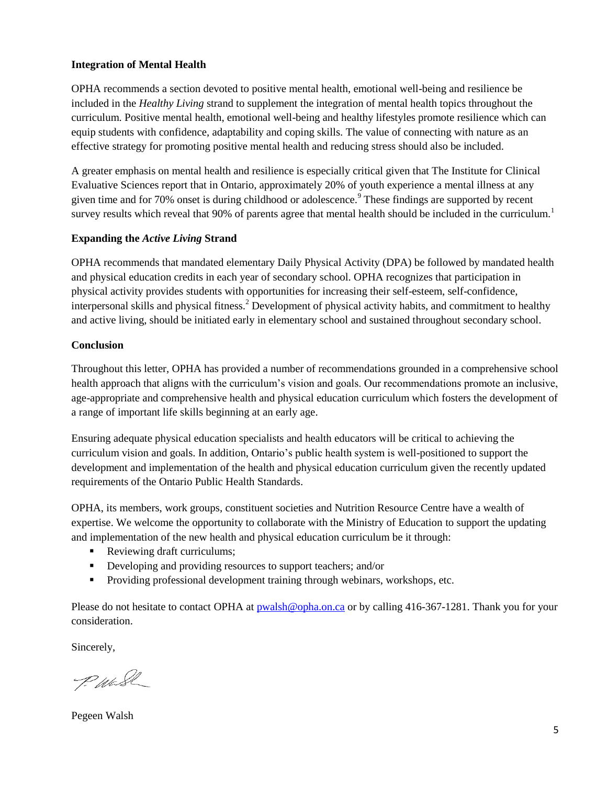## **Integration of Mental Health**

OPHA recommends a section devoted to positive mental health, emotional well-being and resilience be included in the *Healthy Living* strand to supplement the integration of mental health topics throughout the curriculum. Positive mental health, emotional well-being and healthy lifestyles promote resilience which can equip students with confidence, adaptability and coping skills. The value of connecting with nature as an effective strategy for promoting positive mental health and reducing stress should also be included.

A greater emphasis on mental health and resilience is especially critical given that The Institute for Clinical Evaluative Sciences report that in Ontario, approximately 20% of youth experience a mental illness at any given time and for 70% onset is during childhood or adolescence.<sup>9</sup> These findings are supported by recent survey results which reveal that 90% of parents agree that mental health should be included in the curriculum.<sup>1</sup>

#### **Expanding the** *Active Living* **Strand**

OPHA recommends that mandated elementary Daily Physical Activity (DPA) be followed by mandated health and physical education credits in each year of secondary school. OPHA recognizes that participation in physical activity provides students with opportunities for increasing their self-esteem, self-confidence, interpersonal skills and physical fitness.<sup>2</sup> Development of physical activity habits, and commitment to healthy and active living, should be initiated early in elementary school and sustained throughout secondary school.

#### **Conclusion**

Throughout this letter, OPHA has provided a number of recommendations grounded in a comprehensive school health approach that aligns with the curriculum's vision and goals. Our recommendations promote an inclusive, age-appropriate and comprehensive health and physical education curriculum which fosters the development of a range of important life skills beginning at an early age.

Ensuring adequate physical education specialists and health educators will be critical to achieving the curriculum vision and goals. In addition, Ontario's public health system is well-positioned to support the development and implementation of the health and physical education curriculum given the recently updated requirements of the Ontario Public Health Standards.

OPHA, its members, work groups, constituent societies and Nutrition Resource Centre have a wealth of expertise. We welcome the opportunity to collaborate with the Ministry of Education to support the updating and implementation of the new health and physical education curriculum be it through:

- Reviewing draft curriculums;
- Developing and providing resources to support teachers; and/or
- **Providing professional development training through webinars, workshops, etc.**

Please do not hesitate to contact OPHA at [pwalsh@opha.on.ca](mailto:pwalsh@opha.on.ca) or by calling 416-367-1281. Thank you for your consideration.

Sincerely,

P. Wash

Pegeen Walsh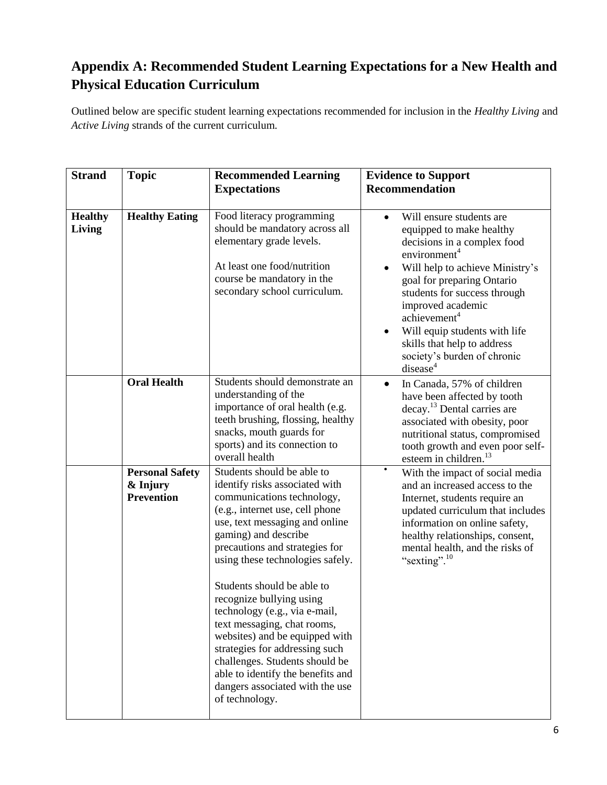# **Appendix A: Recommended Student Learning Expectations for a New Health and Physical Education Curriculum**

Outlined below are specific student learning expectations recommended for inclusion in the *Healthy Living* and *Active Living* strands of the current curriculum.

| <b>Strand</b>            | <b>Topic</b>                                            | <b>Recommended Learning</b>                                                                                                                                                                                                                                                                                                                                                                                                                                                                                                                                                             | <b>Evidence to Support</b>                                                                                                                                                                                                                                                                                                                                                                                         |
|--------------------------|---------------------------------------------------------|-----------------------------------------------------------------------------------------------------------------------------------------------------------------------------------------------------------------------------------------------------------------------------------------------------------------------------------------------------------------------------------------------------------------------------------------------------------------------------------------------------------------------------------------------------------------------------------------|--------------------------------------------------------------------------------------------------------------------------------------------------------------------------------------------------------------------------------------------------------------------------------------------------------------------------------------------------------------------------------------------------------------------|
|                          |                                                         | <b>Expectations</b>                                                                                                                                                                                                                                                                                                                                                                                                                                                                                                                                                                     | <b>Recommendation</b>                                                                                                                                                                                                                                                                                                                                                                                              |
| <b>Healthy</b><br>Living | <b>Healthy Eating</b>                                   | Food literacy programming<br>should be mandatory across all<br>elementary grade levels.<br>At least one food/nutrition<br>course be mandatory in the<br>secondary school curriculum.                                                                                                                                                                                                                                                                                                                                                                                                    | Will ensure students are<br>$\bullet$<br>equipped to make healthy<br>decisions in a complex food<br>environment <sup>4</sup><br>Will help to achieve Ministry's<br>$\bullet$<br>goal for preparing Ontario<br>students for success through<br>improved academic<br>achievement <sup>4</sup><br>Will equip students with life<br>skills that help to address<br>society's burden of chronic<br>disease <sup>4</sup> |
|                          | <b>Oral Health</b>                                      | Students should demonstrate an<br>understanding of the<br>importance of oral health (e.g.<br>teeth brushing, flossing, healthy<br>snacks, mouth guards for<br>sports) and its connection to<br>overall health                                                                                                                                                                                                                                                                                                                                                                           | In Canada, 57% of children<br>$\bullet$<br>have been affected by tooth<br>decay. <sup>13</sup> Dental carries are<br>associated with obesity, poor<br>nutritional status, compromised<br>tooth growth and even poor self-<br>esteem in children. <sup>13</sup>                                                                                                                                                     |
|                          | <b>Personal Safety</b><br>& Injury<br><b>Prevention</b> | Students should be able to<br>identify risks associated with<br>communications technology,<br>(e.g., internet use, cell phone<br>use, text messaging and online<br>gaming) and describe<br>precautions and strategies for<br>using these technologies safely.<br>Students should be able to<br>recognize bullying using<br>technology (e.g., via e-mail,<br>text messaging, chat rooms,<br>websites) and be equipped with<br>strategies for addressing such<br>challenges. Students should be<br>able to identify the benefits and<br>dangers associated with the use<br>of technology. | $\bullet$<br>With the impact of social media<br>and an increased access to the<br>Internet, students require an<br>updated curriculum that includes<br>information on online safety,<br>healthy relationships, consent,<br>mental health, and the risks of<br>"sexting". <sup>10</sup>                                                                                                                             |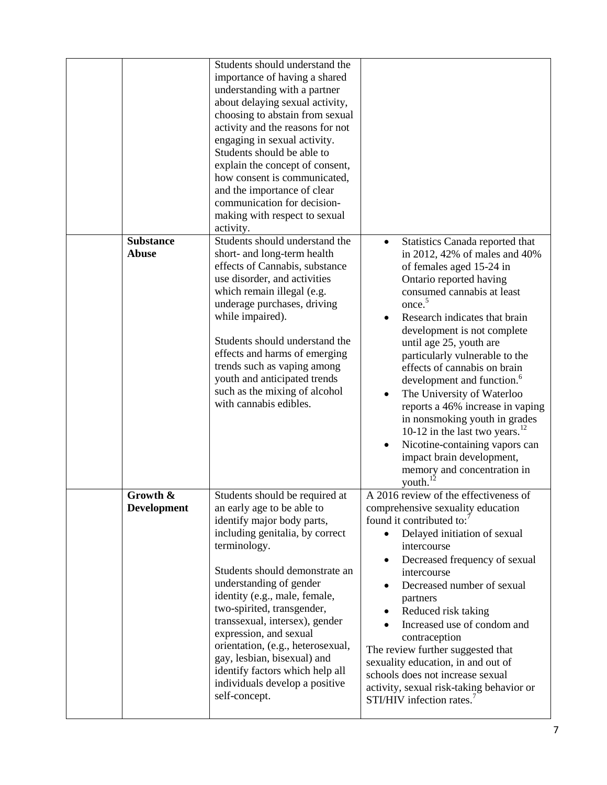|                                  | Students should understand the<br>importance of having a shared<br>understanding with a partner<br>about delaying sexual activity,<br>choosing to abstain from sexual<br>activity and the reasons for not<br>engaging in sexual activity.<br>Students should be able to<br>explain the concept of consent,<br>how consent is communicated,<br>and the importance of clear<br>communication for decision-<br>making with respect to sexual<br>activity.                                          |                                                                                                                                                                                                                                                                                                                                                                                                                                                                                                                                                                                                                                                                                      |
|----------------------------------|-------------------------------------------------------------------------------------------------------------------------------------------------------------------------------------------------------------------------------------------------------------------------------------------------------------------------------------------------------------------------------------------------------------------------------------------------------------------------------------------------|--------------------------------------------------------------------------------------------------------------------------------------------------------------------------------------------------------------------------------------------------------------------------------------------------------------------------------------------------------------------------------------------------------------------------------------------------------------------------------------------------------------------------------------------------------------------------------------------------------------------------------------------------------------------------------------|
| <b>Substance</b><br><b>Abuse</b> | Students should understand the<br>short- and long-term health<br>effects of Cannabis, substance<br>use disorder, and activities<br>which remain illegal (e.g.<br>underage purchases, driving<br>while impaired).<br>Students should understand the<br>effects and harms of emerging<br>trends such as vaping among<br>youth and anticipated trends<br>such as the mixing of alcohol<br>with cannabis edibles.                                                                                   | Statistics Canada reported that<br>$\bullet$<br>in 2012, 42% of males and 40%<br>of females aged 15-24 in<br>Ontario reported having<br>consumed cannabis at least<br>once. <sup>5</sup><br>Research indicates that brain<br>$\bullet$<br>development is not complete<br>until age 25, youth are<br>particularly vulnerable to the<br>effects of cannabis on brain<br>development and function. <sup>6</sup><br>The University of Waterloo<br>reports a 46% increase in vaping<br>in nonsmoking youth in grades<br>10-12 in the last two years. $^{12}$<br>Nicotine-containing vapors can<br>$\bullet$<br>impact brain development,<br>memory and concentration in<br>youth. $^{12}$ |
| Growth &<br><b>Development</b>   | Students should be required at<br>an early age to be able to<br>identify major body parts,<br>including genitalia, by correct<br>terminology.<br>Students should demonstrate an<br>understanding of gender<br>identity (e.g., male, female,<br>two-spirited, transgender,<br>transsexual, intersex), gender<br>expression, and sexual<br>orientation, (e.g., heterosexual,<br>gay, lesbian, bisexual) and<br>identify factors which help all<br>individuals develop a positive<br>self-concept. | A 2016 review of the effectiveness of<br>comprehensive sexuality education<br>found it contributed to:<br>Delayed initiation of sexual<br>$\bullet$<br>intercourse<br>Decreased frequency of sexual<br>$\bullet$<br>intercourse<br>Decreased number of sexual<br>$\bullet$<br>partners<br>Reduced risk taking<br>٠<br>Increased use of condom and<br>$\bullet$<br>contraception<br>The review further suggested that<br>sexuality education, in and out of<br>schools does not increase sexual<br>activity, sexual risk-taking behavior or<br>STI/HIV infection rates.                                                                                                               |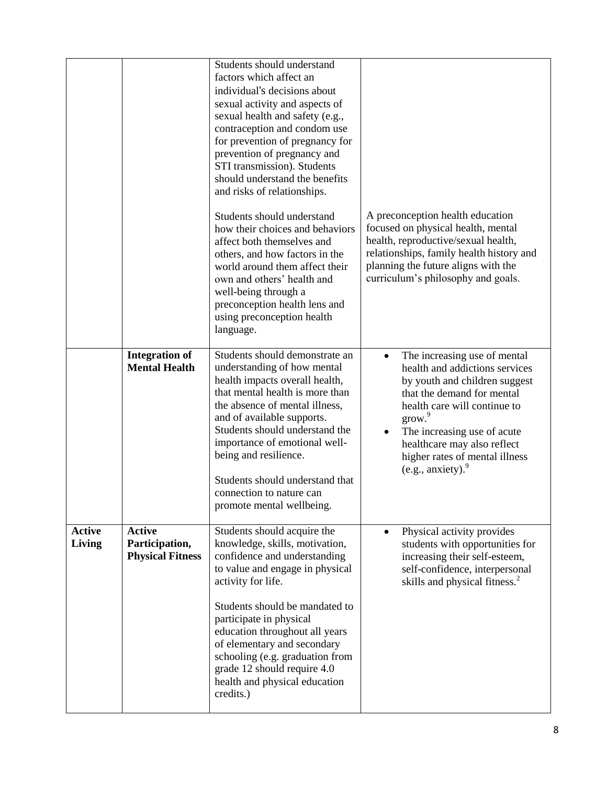|                         |                                                            | Students should understand<br>factors which affect an<br>individual's decisions about<br>sexual activity and aspects of<br>sexual health and safety (e.g.,<br>contraception and condom use<br>for prevention of pregnancy for<br>prevention of pregnancy and<br>STI transmission). Students<br>should understand the benefits<br>and risks of relationships.<br>Students should understand<br>how their choices and behaviors<br>affect both themselves and<br>others, and how factors in the<br>world around them affect their<br>own and others' health and<br>well-being through a<br>preconception health lens and<br>using preconception health<br>language. | A preconception health education<br>focused on physical health, mental<br>health, reproductive/sexual health,<br>relationships, family health history and<br>planning the future aligns with the<br>curriculum's philosophy and goals.                                                                                                |
|-------------------------|------------------------------------------------------------|-------------------------------------------------------------------------------------------------------------------------------------------------------------------------------------------------------------------------------------------------------------------------------------------------------------------------------------------------------------------------------------------------------------------------------------------------------------------------------------------------------------------------------------------------------------------------------------------------------------------------------------------------------------------|---------------------------------------------------------------------------------------------------------------------------------------------------------------------------------------------------------------------------------------------------------------------------------------------------------------------------------------|
|                         | <b>Integration of</b><br><b>Mental Health</b>              | Students should demonstrate an<br>understanding of how mental<br>health impacts overall health,<br>that mental health is more than<br>the absence of mental illness,<br>and of available supports.<br>Students should understand the<br>importance of emotional well-<br>being and resilience.<br>Students should understand that<br>connection to nature can<br>promote mental wellbeing.                                                                                                                                                                                                                                                                        | The increasing use of mental<br>$\bullet$<br>health and addictions services<br>by youth and children suggest<br>that the demand for mental<br>health care will continue to<br>grow. <sup>9</sup><br>The increasing use of acute<br>$\bullet$<br>healthcare may also reflect<br>higher rates of mental illness<br>(e.g., anxiety). $9$ |
| <b>Active</b><br>Living | <b>Active</b><br>Participation,<br><b>Physical Fitness</b> | Students should acquire the<br>knowledge, skills, motivation,<br>confidence and understanding<br>to value and engage in physical<br>activity for life.<br>Students should be mandated to<br>participate in physical<br>education throughout all years<br>of elementary and secondary<br>schooling (e.g. graduation from<br>grade 12 should require 4.0<br>health and physical education<br>credits.)                                                                                                                                                                                                                                                              | Physical activity provides<br>$\bullet$<br>students with opportunities for<br>increasing their self-esteem,<br>self-confidence, interpersonal<br>skills and physical fitness. <sup>2</sup>                                                                                                                                            |